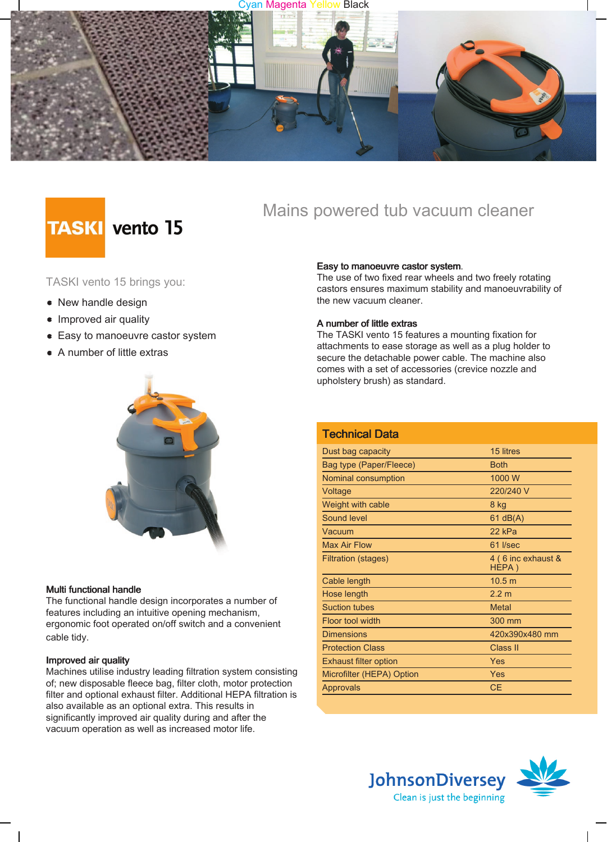#### an Magenta Yellow Black



# **TASKI** vento 15

### TASKI vento 15 brings you:

- New handle design
- Improved air quality
- Easy to manoeuvre castor system
- A number of little extras



#### Multi functional handle

The functional handle design incorporates a number of features including an intuitive opening mechanism, ergonomic foot operated on/off switch and a convenient cable tidy.

#### Improved air quality

Machines utilise industry leading filtration system consisting of; new disposable fleece bag, filter cloth, motor protection filter and optional exhaust filter. Additional HEPA filtration is also available as an optional extra. This results in significantly improved air quality during and after the vacuum operation as well as increased motor life.

Mains powered tub vacuum cleaner

#### Easy to manoeuvre castor system.

The use of two fixed rear wheels and two freely rotating castors ensures maximum stability and manoeuvrability of the new vacuum cleaner.

#### A number of little extras

The TASKI vento 15 features a mounting fixation for attachments to ease storage as well as a plug holder to secure the detachable power cable. The machine also comes with a set of accessories (crevice nozzle and upholstery brush) as standard.

| <b>Technical Data</b>        |                             |
|------------------------------|-----------------------------|
| Dust bag capacity            | 15 litres                   |
| Bag type (Paper/Fleece)      | <b>Both</b>                 |
| Nominal consumption          | 1000 W                      |
| Voltage                      | 220/240 V                   |
| Weight with cable            | 8 kg                        |
| Sound level                  | $61$ dB(A)                  |
| Vacuum                       | 22 kPa                      |
| Max Air Flow                 | 61 l/sec                    |
| <b>Filtration (stages)</b>   | 4 (6 inc exhaust &<br>HEPA) |
| Cable length                 | 10.5 <sub>m</sub>           |
| Hose length                  | 2.2 m                       |
| <b>Suction tubes</b>         | <b>Metal</b>                |
| Floor tool width             | 300 mm                      |
| <b>Dimensions</b>            | 420x390x480 mm              |
| <b>Protection Class</b>      | Class II                    |
| <b>Exhaust filter option</b> | Yes                         |
| Microfilter (HEPA) Option    | Yes                         |
| Approvals                    | <b>CE</b>                   |